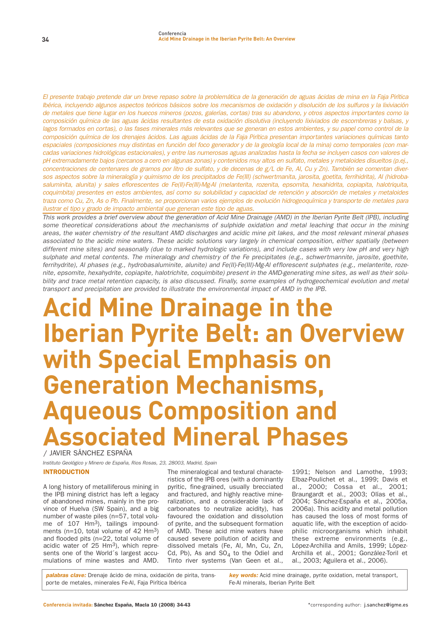El presente trabajo pretende dar un breve repaso sobre la problemática de la generación de aguas ácidas de mina en la Faja Pirítica Ibérica, incluyendo algunos aspectos teóricos básicos sobre los mecanismos de oxidación y disolución de los sulfuros y la lixiviación de metales que tiene lugar en los huecos mineros (pozos, galerías, cortas) tras su abandono, y otros aspectos importantes como la composición química de las aguas ácidas resultantes de esta oxidación disolutiva (incluyendo lixiviados de escombreras y balsas, y lagos formados en cortas), o las fases minerales más relevantes que se generan en estos ambientes, y su papel como control de la composición química de los drenajes ácidos. Las aguas ácidas de la Faja Pirítica presentan importantes variaciones químicas tanto espaciales (composiciones muy distintas en función del foco generador y de la geología local de la mina) como temporales (con marcadas variaciones hidrológicas estacionales), y entre las numerosas aguas analizadas hasta la fecha se incluyen casos con valores de pH extremadamente bajos (cercanos a cero en algunas zonas) y contenidos muy altos en sulfato, metales y metaloides disueltos (p.ej., concentraciones de centenares de gramos por litro de sulfato, y de decenas de g/L de Fe, Al, Cu y Zn). También se comentan diversos aspectos sobre la mineralogía y quimismo de los precipitados de Fe(III) (schwertmanita, jarosita, goetita, ferrihidrita), Al (hidrobasaluminita, alunita) y sales eflorescentes de Fe(II)-Fe(III)-Mg-Al (melanterita, rozenita, epsomita, hexahidrita, copiapita, halotriquita, coquimbita) presentes en estos ambientes, así como su solubilidad y capacidad de retención y absorción de metales y metaloides traza como Cu, Zn, As o Pb. Finalmente, se proporcionan varios ejemplos de evolución hidrogeoquímica y transporte de metales para ilustrar el tipo y grado de impacto ambiental que generan este tipo de aguas.

This work provides a brief overview about the generation of Acid Mine Drainage (AMD) in the Iberian Pyrite Belt (IPB), including some theoretical considerations about the mechanisms of sulphide oxidation and metal leaching that occur in the mining areas, the water chemistry of the resultant AMD discharges and acidic mine pit lakes, and the most relevant mineral phases associated to the acidic mine waters. These acidic solutions vary largely in chemical composition, either spatially (between different mine sites) and seasonally (due to marked hydrologic variations), and include cases with very low pH and very high sulphate and metal contents. The mineralogy and chemistry of the Fe precipitates (e.g., schwertmannite, jarosite, goethite, ferrihydrite), Al phases (e.g., hydrobasaluminite, alunite) and Fe(II)-Fe(III)-Mg-Al efflorescent sulphates (e.g., melanterite, rozenite, epsomite, hexahydrite, copiapite, halotrichite, coquimbite) present in the AMD-generating mine sites, as well as their solubility and trace metal retention capacity, is also discussed. Finally, some examples of hydrogeochemical evolution and metal transport and precipitation are provided to illustrate the environmental impact of AMD in the IPB.

# **Acid Mine Drainage in the Iberian Pyrite Belt: an Overview with Special Emphasis on Generation Mechanisms, Aqueous Composition and Associated Mineral Phases**

**/ JAVIER SÁNCHEZ ESPAÑA**

Instituto Geológico y Minero de España, Rios Rosas, 23, 28003, Madrid, Spain

# INTRODUCTION

**A long history of metalliferous mining in the IPB mining district has left a legacy of abandoned mines, mainly in the province of Huelva (SW Spain), and a big number of waste piles (n=57, total volume of 107 Hm3), tailings impoundments (n=10, total volume of 42 Hm3) and flooded pits (n=22, total volume of acidic water of 25 Hm3), which represents one of the World´s largest accumulations of mine wastes and AMD.**

**The mineralogical and textural characteristics of the IPB ores (with a dominantly pyritic, fine-grained, usually brecciated and fractured, and highly reactive mineralization, and a considerable lack of carbonates to neutralize acidity), has favoured the oxidation and dissolution of pyrite, and the subsequent formation of AMD. These acid mine waters have caused severe pollution of acidity and dissolved metals (Fe, Al, Mn, Cu, Zn, Cd, Pb), As and SO4 to the Odiel and Tinto river systems (Van Geen et al.,**

**1991; Nelson and Lamothe, 1993; Elbaz-Poulichet et al., 1999; Davis et al., 2000; Cossa et al., 2001; Braungardt et al., 2003; Olías et al., 2004; Sánchez-España et al., 2005a, 2006a). This acidity and metal pollution has caused the loss of most forms of aquatic life, with the exception of acidophilic microorganisms which inhabit these extreme environments (e.g., López-Archilla and Amils, 1999; López-Archilla et al., 2001; González-Toril et al., 2003; Aguilera et al., 2006).**

**palabras clave: Drenaje ácido de mina, oxidación de pirita, transporte de metales, minerales Fe-Al, Faja Pirítica Ibérica**

**key words: Acid mine drainage, pyrite oxidation, metal transport, Fe-Al minerals, Iberian Pyrite Belt**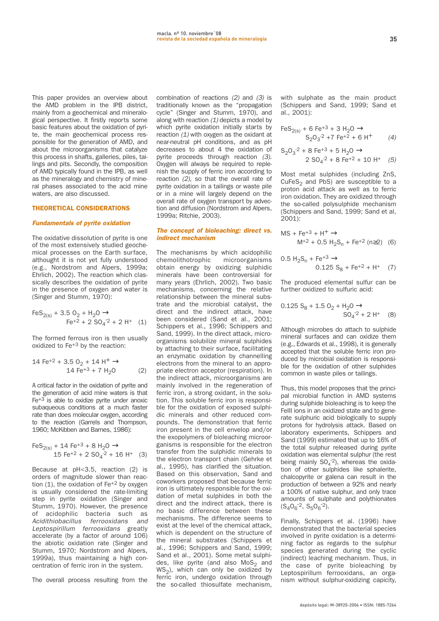**This paper provides an overview about the AMD problem in the IPB district, mainly from a geochemical and mineralogical perspective. It firstly reports some basic features about the oxidation of pyrite, the main geochemical process responsible for the generation of AMD, and about the microorganisms that catalyze this process in shafts, galleries, piles, tailings and pits. Secondly, the composition of AMD typically found in the IPB, as well as the mineralogy and chemistry of mineral phases associated to the acid mine waters, are also discussed.**

# THEORETICAL CONSIDERATIONS

# **Fundamentals of pyrite oxidation**

**The oxidative dissolution of pyrite is one of the most extensively studied geochemical processes on the Earth surface, althought it is not yet fully understood (e.g., Nordstrom and Alpers, 1999a; Ehrlich, 2002). The reaction which classically describes the oxidation of pyrite in the presence of oxygen and water is (Singer and Stumm, 1970):**

$$
FeS_{2(s)} + 3.5 O_2 + H_2O \rightarrow
$$
  
 
$$
Fe^{+2} + 2 SO_4^{-2} + 2 H^+ (1)
$$

**The formed ferrous iron is then usually oxidized to Fe+3 by the reaction:**

$$
14 \text{ Fe}^{+2} + 3.5 \text{ O}_2 + 14 \text{ H}^+ \rightarrow
$$
  

$$
14 \text{ Fe}^{+3} + 7 \text{ H}_2\text{O} \tag{2}
$$

**A critical factor in the oxidation of pyrite and the generation of acid mine waters is that Fe+3 is able to oxidize pyrite under anoxic subaqueous conditions at a much faster rate than does molecular oxygen, according to the reaction (Garrels and Thompson, 1960; McKibben and Barnes, 1986):**

$$
FeS_{2(s)} + 14 Fe^{+3} + 8 H_2O \rightarrow
$$
  
15 Fe<sup>+2</sup> + 2 SO<sub>4</sub><sup>-2</sup> + 16 H<sup>+</sup> (3)

**Because at pH<3.5, reaction (2) is orders of magnitude slower than reaction (1), the oxidation of Fe+2 by oxygen is usually considered the rate-limiting step in pyrite oxidation (Singer and Stumm, 1970). However, the presence of acidophilic bacteria such as** Acidithiobacillus ferrooxidans and Leptospirillum ferrooxidans **greatly accelerate (by a factor of around 106) the abiotic oxidation rate (Singer and Stumm, 1970; Nordstrom and Alpers, 1999a), thus maintaining a high concentration of ferric iron in the system.**

**The overall process resulting from the**

**combination of reactions** (2) **and** (3) **is traditionally known as the "propagation cycle" (Singer and Stumm, 1970), and along with reaction** (1) **depicts a model by which pyrite oxidation initially starts by reaction** (1) **with oxygen as the oxidant at near-neutral pH conditions, and as pH decreases to about 4 the oxidation of pyrite proceeds through reaction** (3)**. Oxygen will always be required to replenish the supply of ferric iron according to reaction** (2)**, so that the overall rate of pyrite oxidation in a tailings or waste pile or in a mine will largely depend on the overall rate of oxygen transport by advection and diffusion (Nordstrom and Alpers, 1999a; Ritchie, 2003).**

#### **The concept of bioleaching: direct vs. indirect mechanism**

**The mechanisms by which acidophilic chemolithotrophic microorganisms obtain energy by oxidizing sulphidic minerals have been controversial for many years (Ehrlich, 2002). Two basic mechanisms, concerning the relative relationship between the mineral substrate and the microbial catalyst, the direct and the indirect attack, have been considered (Sand et al., 2001; Schippers et al., 1996; Schippers and Sand, 1999). In the direct attack, microorganisms solubilize mineral sulphides by attaching to their surface, facilitating an enzymatic oxidation by channelling electrons from the mineral to an appropriate electron acceptor (respiration). In the indirect attack, microorganisms are mainly involved in the regeneration of ferric iron, a strong oxidant, in the solution. This soluble ferric iron is responsible for the oxidation of exposed sulphidic minerals and other reduced compounds. The demonstration that ferric iron present in the cell envelop and/or the exopolymers of bioleaching microorganisms is responsible for the electron transfer from the sulphidic minerals to the electron transport chain (Gehrke et al., 1995), has clarified the situation. Based on this observation, Sand and coworkers proposed that because ferric iron is ultimately responsible for the oxidation of metal sulphides in both the direct and the indirect attack, there is no basic difference between these mechanisms. The difference seems to exist at the level of the chemical attack, which is dependent on the structure of the mineral substrates (Schippers et al., 1996; Schippers and Sand, 1999; Sand et al., 2001). Some metal sulphi**des, like pyrite (and also MoS<sub>2</sub> and WS<sub>2</sub>), which can only be oxidized by **ferric iron, undergo oxidation through the so-called thiosulfate mechanism,**

**with sulphate as the main product (Schippers and Sand, 1999; Sand et al., 2001):**

$$
FeS_{2(s)} + 6 Fe^{+3} + 3 H_2O \rightarrow
$$
  
\n
$$
S_2O_3^{-2} + 7 Fe^{+2} + 6 H^+ \qquad (4)
$$
  
\n
$$
S_2O_3^{-2} + 8 Fe^{+3} + 5 H^+O \rightarrow
$$

$$
S_2O_3^2 + 8 \text{ Fe}^{+3} + 5 \text{ H}_2O \rightarrow
$$
  
2 
$$
SO_4^2 + 8 \text{ Fe}^{+2} + 10 \text{ H}^+ \quad (5)
$$

**Most metal sulphides (including ZnS, CuFeS2 and PbS) are susceptible to a proton acid attack as well as to ferric iron oxidation. They are oxidized through the so-called polysulphide mechanism (Schippers and Sand, 1999; Sand et al, 2001):**

$$
MS + Fe^{+3} + H^{+} \rightarrow
$$
  

$$
M^{+2} + 0.5 H_{2}S_{n} + Fe^{+2} (n \ge 2) (6)
$$

$$
0.5 H2Sn + Fe+3 \rightarrow
$$
  
0.125 S<sub>8</sub> + Fe<sup>+2</sup> + H<sup>+</sup> (7)

**The produced elemental sulfur can be further oxidized to sulfuric acid:**

$$
0.125 S_8 + 1.5 O_2 + H_2O \rightarrow
$$
  

$$
SO_4^{-2} + 2 H^+ \quad (8)
$$

**Although microbes do attach to sulphide mineral surfaces and can oxidize them (e.g., Edwards et al., 1998), it is generally accepted that the soluble ferric iron produced by microbial oxidation is responsible for the oxidation of other sulphides common in waste piles or tailings.**

**Thus, this model proposes that the principal microbial function in AMD systems during sulphide bioleaching is to keep the FeIII ions in an oxidized state and to generate sulphuric acid biologically to supply protons for hydrolysis attack. Based on laboratory experiments, Schippers and Sand (1999) estimated that up to 16% of the total sulphur released during pyrite oxidation was elemental sulphur (the rest being mainly SO4 -2), whereas the oxidation of other sulphides like sphalerite, chalcopyrite or galena can result in the production of between a 92% and nearly a 100% of native sulphur, and only trace amounts of sulphate and polythionates**  $(S_4O_6^{-2}, S_5O_6^{-2}).$ 

**Finally, Schippers et al. (1996) have demonstrated that the bacterial species involved in pyrite oxidation is a determining factor as regards to the sulphur species generated during the cyclic (indirect) leaching mechanism. Thus, in the case of pyrite bioleaching by Leptospirillum ferrooxidans, an organism without sulphur-oxidizing capicity,**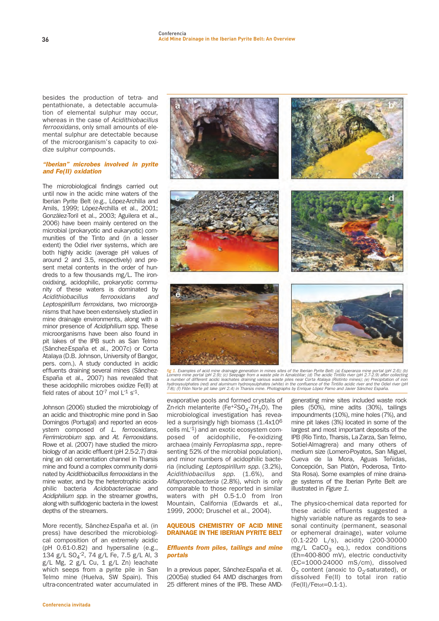**besides the production of tetra- and pentathionate, a detectable accumulation of elemental sulphur may occur, whereas in the case of** Acidithiobacillus ferrooxidans**, only small amounts of elemental sulphur are detectable because of the microorganism's capacity to oxidize sulphur compounds.**

### **"Iberian" microbes involved in pyrite and Fe(II) oxidation**

**The microbiological findings carried out until now in the acidic mine waters of the Iberian Pyrite Belt (e.g., López-Archilla and Amils, 1999; López-Archilla et al., 2001; González-Toril et al., 2003; Aguilera et al., 2006) have been mainly centered on the microbial (prokaryotic and eukaryotic) communities of the Tinto and (in a lesser extent) the Odiel river systems, which are both highly acidic (average pH values of around 2 and 3.5, respectively) and present metal contents in the order of hundreds to a few thousands mg/L. The ironoxidixing, acidophilic, prokaryotic community of these waters is dominated by** Acidithiobacillus ferrooxidans and Leptospirillum ferroxidans**, two microorganisms that have been extensively studied in mine drainage environments, along with a minor presence of** Acidiphilium **spp. These microorganisms have been also found in pit lakes of the IPB such as San Telmo (Sánchez-España et al., 2007c) or Corta Atalaya (D.B. Johnson, University of Bangor, pers. com.). A study conducted in acidic effluents draining several mines (Sánchez-España et al., 2007) has revealed that these acidophilic microbes oxidize Fe(II) at field rates of about 10-7 mol L-1 s-1.**

**Johnson (2006) studied the microbiology of an acidic and thixotrophic mine pond in Sao Domingos (Portugal) and reported an ecosystem composed of** L. ferrooxidans, Ferrimicrobium spp. **and** At. Ferrooxidans. **Rowe et al. (2007) have studied the microbiology of an acidic effluent (pH 2.5-2.7) draining an old cementation channel in Tharsis mine and found a complex community dominated by** Acidithiobacillus ferrooxidans **in the mine water, and by the heterotrophic acidophilic bacteria** Acidobacteriacae **and** Acidiphilium spp. **in the streamer growths, along with sulfidogenic bacteria in the lowest depths of the streamers.**

**More recently, Sánchez-España et al. (in press) have described the microbiological composition of an extremely acidic (pH 0.61-0.82) and hypersaline (e.g., 134 g/L SO4 -2, 74 g/L Fe, 7.5 g/L Al, 3 g/L Mg, 2 g/L Cu, 1 g/L Zn) leachate which seeps from a pyrite pile in San Telmo mine (Huelva, SW Spain). This ultra-concentrated water accumulated in**



fig 1. Examples of acid mine drainage generation in mines sites of the Iberian Pyrite Belt: (a) Esperanza mine portal (pH 2.6); (b)<br>Lomero mine portal (pH 2.9); (c) Seepage from a waste pile in AznatoSliar; (d) The acidic

**evaporative pools and formed crystals of** Zn-rich melanterite (Fe<sup>+2</sup>SO<sub>4</sub>·7H<sub>2</sub>O). The **microbiological investigation has revealed a surprisingly high biomass (1.4x106 cells mL-1) and an exotic ecosystem composed of acidophilic, Fe-oxidizing archaea (mainly** Ferroplasma spp.**, representing 52% of the microbial population), and minor numbers of acidophilic bacteria (including** Leptospirillum spp. **(3.2%),** Acidithiobacillus spp. **(1.6%), and** Alfaproteobacteria **(2.8%), which is only comparable to those reported in similar waters with pH 0.5-1.0 from Iron Mountain, California (Edwards et al., 1999, 2000; Druschel et al., 2004).**

### AQUEOUS CHEMISTRY OF ACID MINE DRAINAGE IN THE IBERIAN PYRITE BELT

#### **Effluents from piles, tailings and mine portals**

**In a previous paper, Sánchez-España et al. (2005a) studied 64 AMD discharges from 25 different mines of the IPB. These AMD-** **generating mine sites included waste rock piles (50%), mine adits (30%), tailings impoundments (10%), mine holes (7%), and mine pit lakes (3%) located in some of the largest and most important deposits of the IPB (Río Tinto, Tharsis, La Zarza, San Telmo, Sotiel-Almagrera) and many others of medium size (Lomero-Poyatos, San Miguel, Cueva de la Mora, Aguas Teñidas, Concepción, San Platón, Poderosa, Tinto-Sta Rosa). Some examples of mine drainage systems of the Iberian Pyrite Belt are illustrated in** Figure 1**.**

**The physico-chemical data reported for these acidic effluents suggested a highly variable nature as regards to seasonal continuity (permanent, seasonal or ephemeral drainage), water volume (0.1-220 L/s), acidity (200-30000** mg/L CaCO<sub>3</sub> eq.), redox conditions **(Eh=400-800 mV), electric conductivity (EC=1000-24000 mS/cm), dissolved O<sub>2</sub>** content (anoxic to O<sub>2</sub>-saturated), or **dissolved Fe(II) to total iron ratio (Fe(II)/Fetot=0.1-1).**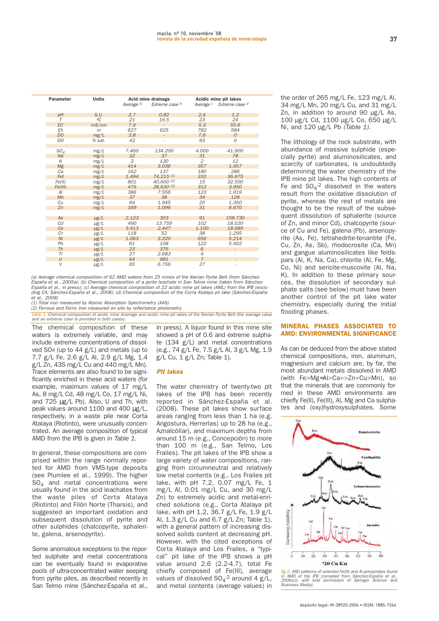| Parameter      | <b>Units</b> | Acid mine drainage   |                          | Acidic mine pit lakes |                                                |
|----------------|--------------|----------------------|--------------------------|-----------------------|------------------------------------------------|
|                |              | Average <sup>a</sup> | Extreme case b           |                       | Average <sup>c</sup> Extreme case <sup>d</sup> |
| pH             | S.U.         | 2.7                  | 0.82                     | 2,6                   | 1.2                                            |
| T              | ºC           | 21                   | 16.5                     | 23                    | 24                                             |
| <b>EC</b>      | mS/cm        | 7.9                  |                          | 5.3                   | 55.6                                           |
| Eh             | m            | 627                  | 625                      | 782                   | 584                                            |
| D <sub>O</sub> | mg/L         | 3.8                  | $\overline{\phantom{a}}$ | 7.6                   | $\Omega$                                       |
| DO             | % sat.       | 42                   |                          | 93                    | $\Omega$                                       |
|                |              |                      |                          |                       |                                                |
| $SO_4$         | mg/L         | 7.460                | 134.200                  | 4.000                 | 41.900                                         |
| Na             | mg/L         | 32                   | 37                       | 31                    | 78                                             |
| K              | mg/L         | 3                    | 130                      | $\overline{2}$        | 12                                             |
| Mg             | mg/L         | 414                  | 3.036                    | 357                   | 1.957                                          |
| Ca             | mg/L         | 162                  | 137                      | 180                   | 286                                            |
| Fet            | mg/L         | 1.494                | 74,215 (1)               | 332                   | 36.675                                         |
| Fe(II)         | mg/L         | 801                  | 40,600(2)                | 15                    | 32.500                                         |
| Fe(III)        | mg/L         | 476                  | 28,630(2)                | 312                   | 3.950                                          |
| Al             | mg/L         | 386                  | 7.556                    | 123                   | 1.919                                          |
| Mn             | mg/L         | 37                   | 38                       | 34                    | 128                                            |
| Cu             | mg/L         | 64                   | 1.945                    | 20                    | 1.350                                          |
| Zn             | mg/L         | 169                  | 1.096                    | 31                    | 6.670                                          |
|                |              |                      |                          |                       |                                                |
| As             | $\mu$ g/L    | 2.123                | 303                      | 91                    | 158.730                                        |
| Cd             | $\mu$ g/L    | 490                  | 13.759                   | 102                   | 18.020                                         |
| Co             | $\mu$ g/L    | 3.413                | 2.447                    | 1.100                 | 18.689                                         |
| Cr             | $\mu$ g/L    | 118                  | 52                       | 38                    | 1.295                                          |
| Ni             | $\mu$ g/L    | 1.063                | 3.220                    | 656                   | 5.214                                          |
| Pb             | $\mu$ g/L    | 61                   | 108                      | 122                   | 5.402                                          |
| Th             | $\mu$ g/L    | 23                   | 376                      | 6                     | $\overline{\phantom{a}}$                       |
| ΤI             | $\mu$ g/L    | 27                   | 2.683                    | $\overline{4}$        | ٠                                              |
| U              | $\mu$ g/L    | 64                   | 981                      | $\overline{7}$        | $\frac{1}{2}$                                  |
| V              | $\mu$ g/L    | 65                   | 6.756                    | 27                    | $\overline{\phantom{a}}$                       |

(a) Average chemical composition of 62 AMD waters from 25 mines of the Iberian Pyrite Belt (from Sánchez-España et al., 2005a); (b) Chemical composition of a pyrite leachate in San Telmo mine (taken from Sánchez-España et al., in press); (c) Average chemical composition of 22 acidic mine pit lakes (AML) from the IPB (excluding CA; Sánchez-España et al., 2008); (d) Chemical composition of the Corta Atalaya pit lake (Sánchez-España et al., 2008)

(1) Total iron measured by Atomic Absorption Spectrometry (AAS)

(2) Ferrous and Ferric iron measured on site by reflectance photometry

Chemical composition of acidic mine drainage and acidic mine pit lakes of the Iberian Pyrite Belt (the average value and an extreme case is provided in both cases).

**The chemical composition of these waters is extremely variable, and may include extreme concentrations of dissolved SO4 (up to 44 g/L) and metals (up to 7.7 g/L Fe, 2.6 g/L Al, 2.9 g/L Mg, 1.4 g/L Zn, 435 mg/L Cu and 440 mg/L Mn). Trace elements are also found to be significantly enriched in these acid waters (for example, maximum values of 17 mg/L As, 8 mg/L Cd, 48 mg/L Co, 17 mg/L Ni, and 725** µ**g/L Pb). Also, U and Th, with peak values around 1100 and 400** µ**g/L, respectively, in a waste pile near Corta Atalaya (Riotinto), were unusually concentrated. An average composition of typical AMD from the IPB is given in** Table 1**.**

**In general, these compositions are comprised within the range normally reported for AMD from VMS-type deposits (see Plumlee et al., 1999). The higher SO4 and metal concentrations were usually found in the acid leachates from the waste piles of Corta Atalaya (Riotinto) and Filón Norte (Tharsis), and suggested an important oxidation and subsequent dissolution of pyrite and other sulphides (chalcopyrite, sphalerite, galena, arsenopyrite).**

**Some anomalous exceptions to the reported sulphate and metal concentrations can be eventually found in evaporative pools of ultra-concentrated water seeping from pyrite piles, as described recently in San Telmo mine (Sánchez-España et al.,** **in press). A liquor found in this mine site showed a pH of 0.6 and extreme sulphate (134 g/L) and metal concentrations (e.g., 74 g/L Fe, 7.5 g/L Al, 3 g/L Mg, 1.9 g/L Cu, 1 g/L Zn; Table 1).**

#### **Pit lakes**

**The water chemistry of twenty-two pit lakes of the IPB has been recently reported in Sánchez-España et al. (2008). These pit lakes show surface areas ranging from less than 1 ha (e.g. Angostura, Herrerías) up to 28 ha (e.g., Aznalcóllar), and maximum depths from around 15 m (e.g., Concepción) to more than 100 m (e.g., San Telmo, Los Frailes). The pit lakes of the IPB show a large variety of water compositions, ranging from circumneutral and relatively low metal contents (e.g., Los Frailes pit lake, with pH 7.2, 0.07 mg/L Fe, 1 mg/L Al, 0.01 mg/L Cu, and 30 mg/L Zn) to extremely acidic and metal-enriched solutions (e.g., Corta Atalaya pit lake, with pH 1.2, 36.7 g/L Fe, 1.9 g/L Al, 1.3 g/L Cu and 6.7 g/L Zn; Table 1), with a general pattern of increasing dissolved solids content at decreasing pH. However, with the cited exceptions of Corta Atalaya and Los Frailes, a "typical" pit lake of the IPB shows a pH value around 2.6 (2.2-4.7), total Fe chiefly composed of Fe(III), average values of dissolved SO4 -2 around 4 g/L, and metal contents (average values) in** **the order of 265 mg/L Fe, 123 mg/L Al, 34 mg/L Mn, 20 mg/L Cu, and 31 mg/L Zn, in addition to around 90 µg/L As, 100 µg/L Cd, 1100 µg/L Co, 650 µg/L Ni, and 120 µg/L Pb** (Table 1)**.** 

**The lithology of the rock substrate, with abundance of massive sulphide (especially pyrite) and aluminosilicates, and scarcity of carbonates, is undoubtedly determining the water chemistry of the IPB mine pit lakes. The high contents of Fe and SO4 -2 dissolved in the waters result from the oxidative dissolution of pyrite, whereas the rest of metals are thought to be the result of the subsequent dissolution of sphalerite (source of Zn, and minor Cd), chalcopyrite (source of Cu and Fe), galena (Pb), arsenopyrite (As, Fe), tetrahedrite-tenantite (Fe, Cu, Zn, As, Sb), rhodocrosite (Ca, Mn) and gangue aluminosilicates like feldspars (Al, K, Na, Ca), chlorite (Al, Fe, Mg, Co, Ni) and sericite-muscovite (Al, Na, K). In addition to these primary sources, the dissolution of secondary sulphate salts (see below) must have been another control of the pit lake water chemistry, especially during the initial flooding phases.**

### MINERAL PHASES ASSOCIATED TO AMD: ENVIRONMENTAL SIGNIFICANCE

**As can be deduced from the above stated chemical compositions, iron, aluminum, magnesium and calcium are, by far, the most abundant metals dissolved in AMD (with Fe>Mg**≈**Al>Ca>>Zn>Cu>Mn), so that the minerals that are commonly formed in these AMD environments are chiefly Fe(II), Fe(III), Al, Mg and Ca sulphates and (oxy)hydroxysulphates. Some**



fig 2. XRD patterns of selected Fe(III) and Al precipitates found<br>in AMD of the IPB (compiled from Sânchez-España et al.,<br>2006a,b, with kind permission of Springer Science and<br>Business Media).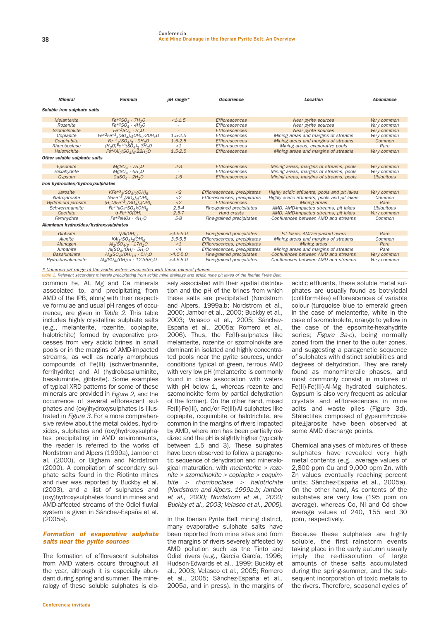| <b>Mineral</b>                       | <b>Formula</b>                                                                                      | pH range*           | <b>Occurrence</b>            | Location                                     | <b>Abundance</b>  |  |  |  |  |  |
|--------------------------------------|-----------------------------------------------------------------------------------------------------|---------------------|------------------------------|----------------------------------------------|-------------------|--|--|--|--|--|
| Soluble iron sulphate salts          |                                                                                                     |                     |                              |                                              |                   |  |  |  |  |  |
| Melanterite                          | $Fe^{+2}SOA \cdot 7H2O$                                                                             | $<1-1.5$            | <b>Efflorescences</b>        | Near pyrite sources                          | Very common       |  |  |  |  |  |
| Rozenite                             | $Fe^{+2}SO_{4} \cdot 4H_{2}O$                                                                       |                     | Efflorescences               | Near pyrite sources                          | Very common       |  |  |  |  |  |
| Szomolnokite                         | $Fe^{+2}SO_4 \cdot H_2O$                                                                            |                     | <b>Efflorescences</b>        | Near pyrite sources                          | Very common       |  |  |  |  |  |
| Copiapite                            | $Fe^{+2}Fe^{+3}$ <sub>4</sub> (SO <sub>4</sub> ) <sub>6</sub> (OH) <sub>2</sub> .20H <sub>2</sub> O | $1.5 - 2.5$         | Efflorescences               | Mining areas and margins of streams          | Verv common       |  |  |  |  |  |
| Coquimbite                           | $Fe^{+3}$ <sub>2</sub> $(SO_4)_3$ · 9H <sub>2</sub> O                                               | $1.5 - 2.5$         | <b>Efflorescences</b>        | Mining areas and margins of streams          | Common            |  |  |  |  |  |
| Rhomboclase                          | $(H_3O)Fe^{+3}(SO_4)_2.3H_2O$                                                                       | $\leq$ 1            | Efflorescences               | Mining areas, evaporative pools              | Rare              |  |  |  |  |  |
| Halotrichite                         | $Fe^{+2}Al_2(SO_4)_4.22H_2O$                                                                        | $1.5 - 2.5$         | <b>Efflorescences</b>        | Mining areas and margins of streams          | Very common       |  |  |  |  |  |
| Other soluble sulphate salts         |                                                                                                     |                     |                              |                                              |                   |  |  |  |  |  |
| Epsomite                             | $MgSO4 \cdot 7H2O$                                                                                  | $2 - 3$             | <b>Efflorescences</b>        | Mining areas, margins of streams, pools      | Very common       |  |  |  |  |  |
| Hexahydrite                          | $MgSO4 \cdot 6H2O$                                                                                  |                     | Efflorescences               | Mining areas, margins of streams, pools      | Very common       |  |  |  |  |  |
| Gypsum                               | $CaSOA \cdot 2H2O$                                                                                  | $1 - 5$             | <b>Efflorescences</b>        | Mining areas, margins of streams, pools      | <b>Ubiquitous</b> |  |  |  |  |  |
| Iron hydroxides/hydroxysulphates     |                                                                                                     |                     |                              |                                              |                   |  |  |  |  |  |
| Jarosite                             | $KFe^{+3}$ <sub>3</sub> (SO <sub>4</sub> ) <sub>2</sub> (OH) <sub>6</sub>                           | $\langle 2 \rangle$ | Efflorescences, precipitates | Highly acidic effluents, pools and pit lakes | Very common       |  |  |  |  |  |
| Natrojarosite                        | $NaFe^{+3}$ <sub>3</sub> (SO <sub>4</sub> ) <sub>2</sub> (OH) <sub>6</sub>                          | $<$ 2               | Efflorescences, precipitates | Highly acidic effluents, pools and pit lakes | Common            |  |  |  |  |  |
| Hydronium jarosite                   | $(H_3O)Fe^{+3}$ <sub>3</sub> (SO <sub>4</sub> ) <sub>2</sub> (OH) <sub>6</sub>                      | <2                  | <b>Efflorescences</b>        | Mining areas                                 | Rare              |  |  |  |  |  |
| Schwertmannite                       | $\bar{F}e^{+3}808(SO_4)(OH)_{6}$                                                                    | $2.5 - 4$           | Fine-grained precipitates    | AMD, AMD-impacted streams, pit lakes         | <b>Ubiquitous</b> |  |  |  |  |  |
| Goethite                             | $\alpha$ -Fe <sup>+3</sup> O(OH)                                                                    | $2.5 - 7$           | Hard crusts                  | AMD. AMD-impacted streams, pit lakes         | Very common       |  |  |  |  |  |
| Ferrihydrite                         | $Fe+35HO8 + 4H_2O$                                                                                  | $5-8$               | Fine-grained precipitates    | Confluences between AMD and streams          | Common            |  |  |  |  |  |
| Aluminum hydroxides/hydroxysulphates |                                                                                                     |                     |                              |                                              |                   |  |  |  |  |  |
| Gibbsite                             | $\gamma$ -Al(OH) <sub>3</sub>                                                                       | $>4.5-5.0$          | Fine-grained precipitates    | Pit lakes, AMD-impacted rivers               | Rare              |  |  |  |  |  |
| Alunite                              | $KAI3(SOA)2(OH)6$                                                                                   | $3.5 - 5.5$         | Efflorescences, precipitates | Mining areas and margins of streams          | Common            |  |  |  |  |  |
| Alunogen                             | $Al_2(SO_4)_3 \cdot 17H_2O$                                                                         | $\leq 1$            | Efflorescences, precipitates | Mining areas                                 | Rare              |  |  |  |  |  |
| Jurbanite                            | $AI(SOA)(OH) \cdot 5H2O$                                                                            | $\lt4$              | Efflorescences, precipitates | Mining areas and margins of streams          | Rare              |  |  |  |  |  |
| <b>Basaluminite</b>                  | $Al_4(SO_4)(OH)_{10} \cdot 5H_2O$                                                                   | $>4.5-5.0$          | Fine-grained precipitates    | Confluences between AMD and streams          | Very common       |  |  |  |  |  |
| Hydro-basaluminite                   | $Al_4(SO_4)(OH)_{10} \cdot 12 - 36H_2O$                                                             | $>4.5-5.0$          | Fine-grained precipitates    | Confluences between AMD and streams          | Very common       |  |  |  |  |  |

\* Common pH range of the acidic waters associated with these mineral phases

**common Fe, Al, Mg and Ca minerals associated to, and precipitating from AMD of the IPB, along with their respective formulae and usual pH ranges of occurrence, are given in** Table 2**. This table includes highly crystalline sulphate salts (e.g., melanterite, rozenite, copiapite, halotrichite) formed by evaporative processes from very acidic brines in small pools or in the margins of AMD-impacted streams, as well as nearly amorphous compounds of Fe(III) (schwertmannite, ferrihydrite) and Al (hydrobasaluminite, basaluminite, gibbsite). Some examples of typical XRD patterns for some of these minerals are provided in** Figure 2**, and the occurrence of several efflorescent sulphates and (oxy)hydroxysulphates is illustrated in** Figure 3**. For a more comprehensive review about the metal oxides, hydroxides, sulphates and (oxy)hydroxysulphates precipitating in AMD environments, the reader is referred to the works of Nordstrom and Alpers (1999a), Jambor et al. (2000), or Bigham and Nordstrom (2000). A compilation of secondary sulphate salts found in the Riotinto mines and river was reported by Buckby et al. (2003), and a list of sulphates and (oxy)hydroxysulphates found in mines and AMD-affected streams of the Odiel fluvial system is given in Sánchez-España et al. (2005a).**

## **Formation of evaporative sulphate salts near the pyrite sources**

**The formation of efflorescent sulphates from AMD waters occurs throughout all the year, although it is especially abundant during spring and summer. The mineralogy of these soluble sulphates is clo-**

**sely associated with their spatial distribution and the pH of the brines from which these salts are precipitated (Nordstrom and Alpers, 1999a,b; Nordstrom et al., 2000; Jambor et al., 2000; Buckby et al., 2003; Velasco et al., 2005; Sánchez-España et al., 2005a; Romero et al., 2006). Thus, the Fe(II)-sulphates like melanterite, rozenite or szomolnokite are dominant in isolated and highly concentrated pools near the pyrite sources, under conditions typical of green, ferrous AMD with very low pH (melanterite is commonly found in close association with waters with pH below 1, whereas rozenite and szomolnokite form by partial dehydration of the former). On the other hand, mixed Fe(II)-Fe(III), and/or Fe(III)-Al sulphates like copiapite, coquimbite or halotrichite, are common in the margins of rivers impacted by AMD, where iron has been partially oxidized and the pH is slightly higher (typically between 1.5 and 3). These sulphates have been observed to follow a paragenetic sequence of dehydration and mineralogical maturation, with** melanterite > rozenite > szomolnokite > copiapite > coquimbite > rhomboclase > halotrichite (Nordstrom and Alpers, 1999a,b; Jambor et al., 2000; Nordstrom et al., 2000; Buckby et al., 2003; Velasco et al., 2005). table 2. Relevant secondary minerals precipitating from acidic mine drainage and acidic mine pit lakes of the Iberian Pyrite Belt.

> **In the Iberian Pyrite Belt mining district, many evaporative sulphate salts have been reported from mine sites and from the margins of rivers severely affected by AMD pollution such as the Tinto and Odiel rivers (e.g., García García, 1996; Hudson-Edwards et al., 1999; Buckby et al., 2003; Velasco et al., 2005; Romero et al., 2005; Sánchez-España et al., 2005a, and in press). In the margins of**

**acidic effluents, these soluble metal sulphates are usually found as botryiodal (colliform-like) efflorescences of variable colour (turquoise blue to emerald green in the case of melanterite, white in the case of szomolnokite, orange to yellow in the case of the epsomite-hexahydrite series;** Figure 3a-c**), being normally zoned from the inner to the outer zones, and suggesting a paragenetic sequence of sulphates with distinct solubilities and degrees of dehydration. They are rarely found as monomineralic phases, and most commonly consist in mixtures of Fe(II)-Fe(III)-Al-Mg hydrated sulphates. Gypsum is also very frequent as acicular crystals and efflorescences in mine adits and waste piles (Figure 3d). Stalactites composed of gypsum±copiapite±jarosite have been observed at some AMD discharge points.**

**Chemical analyses of mixtures of these sulphates have revealed very high metal contents (e.g., average values of 2,800 ppm Cu and 9,000 ppm Zn, with Zn values eventually reaching percent units; Sánchez-España et al., 2005a). On the other hand, As contents of the sulphates are very low (195 ppm on average), whereas Co, Ni and Cd show average values of 240, 155 and 30 ppm, respectively.**

**Because these sulphates are highly soluble, the first rainstorm events taking place in the early autumn usually imply the re-dissolution of large amounts of these salts accumulated during the spring-summer, and the subsequent incorporation of toxic metals to the rivers. Therefore, seasonal cycles of**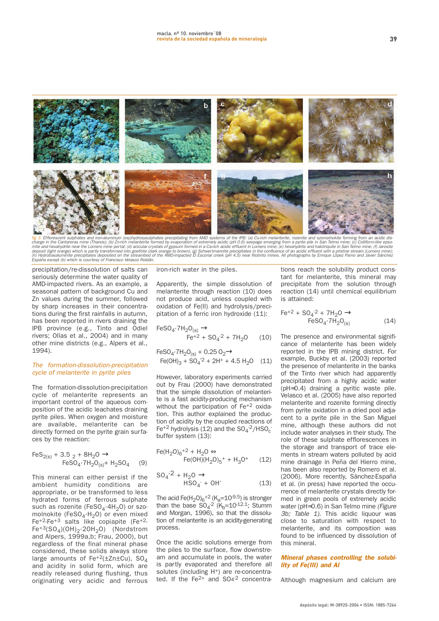

fig 3. Efflorescent sulphates and iron-aluminum (oxy)hydroxysulphates precipitating from AMD systems of the IPB: (a) Cu-rich melanterite, rozenite and szomolnokite forming from an acidic diseased in the Canadian complete i aña except (b) which is courtesy of Francisco Velasco Roldán.

**precipitation/re-dissolution of salts can seriously determine the water quality of AMD-impacted rivers. As an example, a seasonal pattern of background Cu and Zn values during the summer, followed by sharp increases in their concentrations during the first rainfalls in autumn, has been reported in rivers draining the IPB province (e.g., Tinto and Odiel rivers; Olías et al., 2004) and in many other mine districts (e.g., Alpers et al., 1994).**

#### The formation-dissolution-precipitation cycle of melanterite in pyrite piles

**The formation-dissolution-precipitation cycle of melanterite represents an important control of the aqueous composition of the acidic leachates draining pyrite piles. When oxygen and moisture are available, melanterite can be directly formed on the pyrite grain surfaces by the reaction:**

$$
FeS_{2(s)} + 3.5_2 + 8H_2O \rightarrow
$$
  
\n
$$
FeSO_4 \cdot 7H_2O_{(s)} + H_2SO_4
$$
 (9)

**This mineral can either persist if the ambient humidity conditions are appropriate, or be transformed to less hydrated forms of ferrous sulphate** such as rozenite (FeSO<sub>4</sub>·4H<sub>2</sub>O) or szomolnokite (FeSO<sub>4</sub>·H<sub>2</sub>O) or even mixed **Fe+2-Fe+3 salts like copiapite (Fe+2- Fe+3(SO4)(OH)2·20H2O) (Nordstrom and Alpers, 1999a,b; Frau, 2000), but regardless of the final mineral phase considered, these solids always store large amounts of Fe+2(±Zn±Cu), SO4 and acidity in solid form, which are readily released during flushing, thus originating very acidic and ferrous** **iron-rich water in the piles.**

**Apparently, the simple dissolution of melanterite through reaction (10) does not produce acid, unless coupled with oxidation of Fe(II) and hydrolysis/precipitation of a ferric iron hydroxide (11):**

$$
\text{FeSO}_4 \cdot 7\text{H}_2\text{O}_{(s)} \rightarrow
$$
  
 
$$
\text{Fe}^{+2} + \text{SO}_4^{-2} + 7\text{H}_2\text{O} \qquad (10)
$$

$$
FeSO_4 \cdot 7H_2O_{(s)} + 0.25 O_2 \rightarrow Fe(OH)_3 + SO_4^2 + 2H^+ + 4.5 H_2O \quad (11)
$$

**However, laboratory experiments carried out by Frau (2000) have demonstrated that the simple dissolution of melanterite is a fast acidity-producing mechanism without the participation of Fe+2 oxidation. This author explained the production of acidity by the coupled reactions of**  $Fe^{+2}$  hydrolysis (12) and the  $SO_4$ <sup>-2</sup>/HSO<sub>c</sub> **buffer system (13):**

$$
\begin{aligned} \text{Fe}(H_2O)_6^{+2} + H_2O &\Leftrightarrow \\ \text{Fe}(OH)(H_2O)_5^{+} + H_3O^{+} \qquad (12) \end{aligned}
$$

$$
SO_4^{-2} + H_2O \rightarrow HSO_4^- + OH^-
$$
 (13)

The acid  $Fe(H_2O)_6^{+2}$  ( $K_a = 10^{-9.5}$ ) is stronger  $\frac{1}{2}$  (K<sub>b</sub>=10<sup>-12.1</sup>; Stumm **and Morgan, 1996), so that the dissolution of melanterite is an acidity-generating process.**

**Once the acidic solutions emerge from the piles to the surface, flow downstream and accumulate in pools, the water is partly evaporated and therefore all solutes (including H+) are re-concentrated. If the Fe2+ and SO4-2 concentra-**

**tions reach the solubility product constant for melanterite, this mineral may precipitate from the solution through reaction (14) until chemical equilibrium is attained:**

$$
Fe^{+2} + SO_4^2 + 7H_2O \rightarrow
$$
  
\n
$$
FeSO_4 \cdot 7H_2O_{(s)}
$$
 (14)

**The presence and environmental significance of melanterite has been widely reported in the IPB mining district. For example, Buckby et al. (2003) reported the presence of melanterite in the banks of the Tinto river which had apparently precipitated from a highly acidic water (pH**≈**0.4) draining a pyritic waste pile. Velasco et al. (2005) have also reported melanterite and rozenite forming directly from pyrite oxidation in a dried pool adjacent to a pyrite pile in the San Miguel mine, although these authors did not include water analyses in their study. The role of these sulphate efflorescences in the storage and transport of trace elements in stream waters polluted by acid mine drainage in Peña del Hierro mine, has been also reported by Romero et al. (2006). More recently, Sánchez-España et al. (in press) have reported the occurrence of melanterite crystals directly formed in green pools of extremely acidic water (pH**≈**0.6) in San Telmo mine** (Figure 3b; Table 1)**. This acidic liquour was close to saturation with respect to melanterite, and its composition was found to be influenced by dissolution of this mineral.**

#### **Mineral phases controlling the solubility of Fe(III) and Al**

**Although magnesium and calcium are**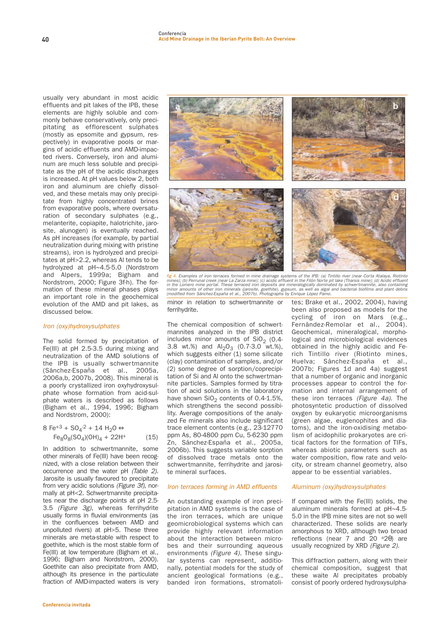**usually very abundant in most acidic effluents and pit lakes of the IPB, these elements are highly soluble and commonly behave conservatively, only precipitating as efflorescent sulphates (mostly as epsomite and gypsum, respectively) in evaporative pools or margins of acidic effluents and AMD-impacted rivers. Conversely, iron and aluminum are much less soluble and precipitate as the pH of the acidic discharges is increased. At pH values below 2, both iron and aluminum are chiefly dissolved, and these metals may only precipitate from highly concentrated brines from evaporative pools, where oversaturation of secondary sulphates (e.g., melanterite, copiapite, halotrichite, jarosite, alunogen) is eventually reached. As pH increases (for example, by partial neutralization during mixing with pristine streams), iron is hydrolyzed and precipitates at pH>2.2, whereas Al tends to be hydrolyzed at pH~4.5-5.0 (Nordstrom and Alpers, 1999a; Bigham and Nordstrom, 2000; Figure 3f-h). The formation of these mineral phases plays an important role in the geochemical evolution of the AMD and pit lakes, as discussed below.**

## Iron (oxy)hydroxysulphates

**The solid formed by precipitation of Fe(III) at pH 2.5-3.5 during mixing and neutralization of the AMD solutions of the IPB is usually schwertmannite (Sánchez-España et al., 2005a, 2006a,b, 2007b, 2008). This mineral is a poorly crystallized iron oxyhydroxysulphate whose formation from acid-sulphate waters is described as follows (Bigham et al., 1994, 1996; Bigham and Nordstrom, 2000):**

**8** Fe<sup>+3</sup> + SO<sub>4</sub><sup>-2</sup> + 14 H<sub>2</sub>O ⇔  $Fe_8O_8(SO_4)(OH)_4 + 22H^+$  (15)

**In addition to schwertmannite, some other minerals of Fe(III) have been recognized, with a close relation between their occurrence and the water pH** (Table 2)**. Jarosite is usually favoured to precipitate from very acidic solutions** (Figure 3f)**, normally at pH<2. Schwertmannite precipitates near the discharge points at pH 2.5- 3.5** (Figure 3g)**, whereas ferrihydrite usually forms in fluvial environments (as in the confluences between AMD and unpolluted rivers) at pH>5. These three minerals are meta-stable with respect to goethite, which is the most stable form of Fe(III) at low temperature (Bigham et al., 1996; Bigham and Nordstrom, 2000). Goethite can also precipitate from AMD, although its presence in the particulate fraction of AMD-impacted waters is very**



fig 4. Examples of iron terraces formed in mine drainage systems of the IPB: (a) Tintillo river (near Corta Atalaya, Riotinto<br>mines); (b) Perrunal creek (near La Zarza mine); (c) acidic effluent in the Filón Norte pit lake

**minor in relation to schwertmannite or ferrihydrite.**

**The chemical composition of schwertmannites analyzed in the IPB district** includes minor amounts of SiO<sub>2</sub> (0.4-**3.8 wt.%) and Al2O3 (0.7-3.0 wt.%), which suggests either (1) some silicate (clay) contamination of samples, and/or (2) some degree of sorption/coprecipitation of Si and Al onto the schwertmannite particles. Samples formed by titration of acid solutions in the laboratory** have shown SiO<sub>2</sub> contents of 0.4-1.5%, **which strengthens the second possibility. Average compositions of the analyzed Fe minerals also include significant trace element contents (e.g., 23-12770 ppm As, 80-4800 ppm Cu, 5-6230 ppm Zn, Sánchez-España et al., 2005a, 2006b). This suggests variable sorption of dissolved trace metals onto the schwertmannite, ferrihydrite and jarosite mineral surfaces.**

#### Iron terraces forming in AMD effluents

**An outstanding example of iron precipitation in AMD systems is the case of the iron terraces, which are unique geomicrobiological systems which can provide highly relevant information about the interaction between microbes and their surrounding aqueous environments** (Figure 4)**. These singular systems can represent, additionally, potential models for the study of ancient geological formations (e.g., banded iron formations, stromatoli-** **tes; Brake et al., 2002, 2004), having been also proposed as models for the cycling of iron on Mars (e.g., Fernández-Remolar et al., 2004). Geochemical, mineralogical, morphological and microbiological evidences obtained in the highly acidic and Ferich Tintillo river (Riotinto mines, Huelva; Sánchez-España et al., 2007b; Figures 1d and 4a) suggest that a number of organic and inorganic processes appear to control the formation and internal arrangement of these iron terraces** (Figure 4a)**. The photosyntetic production of dissolved oxygen by eukaryotic microorganisms (green algae, euglenophites and diatoms), and the iron-oxidising metabolism of acidophilic prokaryotes are critical factors for the formation of TIFs, whereas abiotic parameters such as water composition, flow rate and velocity, or stream channel geometry, also appear to be essential variables.**

#### Aluminum (oxy)hydroxysulphates

**If compared with the Fe(III) solids, the aluminum minerals formed at pH~4.5- 5.0 in the IPB mine sites are not so well characterized. These solids are nearly amorphous to XRD, although two broad reflections (near 7 and 20 o2**θ**) are usually recognized by XRD** (Figure 2)**.**

**This diffraction pattern, along with their chemical composition, suggest that these waite Al precipitates probably consist of poorly ordered hydroxysulpha-**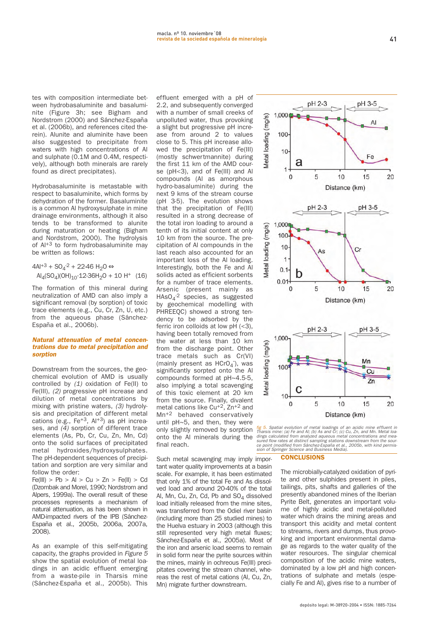**tes with composition intermediate between hydrobasaluminite and basaluminite (Figure 3h; see Bigham and Nordstrom (2000) and Sánchez-España et al. (2006b), and references cited therein). Alunite and aluminite have been also suggested to precipitate from waters with high concentrations of Al and sulphate (0.1M and 0.4M, respectively), although both minerals are rarely found as direct precipitates).**

**Hydrobasaluminite is metastable with respect to basaluminite, which forms by dehydration of the former. Basaluminite is a common Al hydroxysulphate in mine drainage environments, although it also tends to be transformed to alunite during maturation or heating (Bigham and Nordstrom, 2000). The hydrolysis of Al+3 to form hydrobasaluminite may be written as follows:**

 $4Al^{+3}$  + SO<sub>4</sub><sup>-2</sup> + 22-46 H<sub>2</sub>O ⇔  $\text{Al}_4(\text{SO}_4)(\text{OH})_{10} \cdot 12 - 36\text{H}_2\text{O} + 10 \text{H}^+$  (16)

**The formation of this mineral during neutralization of AMD can also imply a significant removal (by sorption) of toxic trace elements (e.g., Cu, Cr, Zn, U, etc.) from the aqueous phase (Sánchez-España et al., 2006b).**

#### **Natural attenuation of metal concentrations due to metal precipitation and sorption**

**Downstream from the sources, the geochemical evolution of AMD is usually controlled by** (1) **oxidation of Fe(II) to Fe(III),** (2) **progressive pH increase and dilution of metal concentrations by mixing with pristine waters,** (3) **hydrolysis and precipitation of different metal cations (e.g., Fe+3, Al+3) as pH increases, and** (4) **sorption of different trace elements (As, Pb, Cr, Cu, Zn, Mn, Cd) onto the solid surfaces of precipitated metal hydroxides/hydroxysulphates. The pH-dependent sequences of precipitation and sorption are very similar and follow the order:** 

 $Fe(III) > Pb > Al > Cu > Zn > Fe(II) > Cd$ **(Dzombak and Morel, 1990; Nordstrom and Alpers, 1999a). The overall result of these processes represents a mechanism of natural attenuation, as has been shown in AMD-impacted rivers of the IPB (Sánchez-España et al., 2005b, 2006a, 2007a, 2008).** 

**As an example of this self-mitigating capacity, the graphs provided in** Figure 5 **show the spatial evolution of metal loadings in an acidic effluent emerging from a waste-pile in Tharsis mine (Sánchez-España et al., 2005b). This**

**effluent emerged with a pH of 2.2, and subsequently converged with a number of small creeks of unpolluted water, thus provoking a slight but progressive pH increase from around 2 to values close to 5. This pH increase allowed the precipitation of Fe(III) (mostly schwertmannite) during the first 11 km of the AMD course (pH<3), and of Fe(III) and Al compounds (Al as amorphous hydro-basaluminite) during the next 9 kms of the stream course (pH 3-5). The evolution shows that the precipitation of Fe(III) resulted in a strong decrease of the total iron loading to around a tenth of its initial content at only 10 km from the source. The precipitation of Al compounds in the last reach also accounted for an important loss of the Al loading. Interestingly, both the Fe and Al solids acted as efficient sorbents for a number of trace elements. Arsenic (present mainly as HAsO4 -2 species, as suggested by geochemical modelling with PHREEQC) showed a strong tendency to be adsorbed by the ferric iron colloids at low pH (<3), having been totally removed from the water at less than 10 km from the discharge point. Other trace metals such as Cr(VI)** (mainly present as HCrO<sub>4</sub><sup>-</sup>), was **significantly sorpted onto the Al compounds formed at pH~4.5-5, also implying a total scavenging of this toxic element at 20 km from the source. Finally, divalent metal cations like Cu+2, Zn+2 and Mn+2 behaved conservatively until pH~5, and then, they were only slightly removed by sorption onto the Al minerals during the final reach.**

**Such metal scavenging may imply important water quality improvements at a basin scale. For example, it has been estimated that only 1% of the total Fe and As dissolved load and around 20-40% of the total** Al, Mn, Cu, Zn, Cd, Pb and SO<sub>4</sub> dissolved **load initially released from the mine sites, was transferred from the Odiel river basin (including more than 25 studied mines) to the Huelva estuary in 2003 (although this still represented very high metal fluxes; Sánchez-España et al., 2005a). Most of the iron and arsenic load seems to remain in solid form near the pyrite sources within the mines, mainly in ochreous Fe(III) precipitates covering the stream channel, whereas the rest of metal cations (Al, Cu, Zn, Mn) migrate further downstream.**





#### **CONCLUSIONS**

**The microbially-catalyzed oxidation of pyrite and other sulphides present in piles, tailings, pits, shafts and galleries of the presently abandoned mines of the Iberian Pyrite Belt, generates an important volume of highly acidic and metal-polluted water which drains the mining areas and transport this acidity and metal content to streams, rivers and dumps, thus provoking and important environmental damage as regards to the water quality of the water resources. The singular chemical composition of the acidic mine waters, dominated by a low pH and high concentrations of sulphate and metals (especially Fe and Al), gives rise to a number of**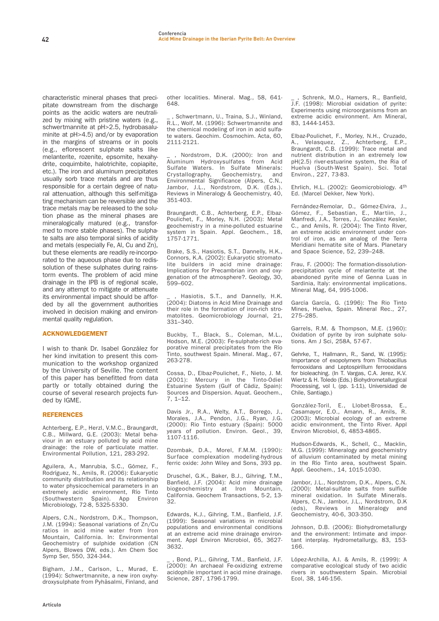**characteristic mineral phases that precipitate downstream from the discharge points as the acidic waters are neutralized by mixing with pristine waters (e.g., schwertmannite at pH>2.5, hydrobasaluminite at pH>4.5) and/or by evaporation in the margins of streams or in pools (e.g., eflorescent sulphate salts like melanterite, rozenite, epsomite, hexahydrite, coquimbite, halotrichite, copiapite, etc.). The iron and aluminum precipitates usually sorb trace metals and are thus responsible for a certain degree of natural attenuation, although this self-mitigating mechanism can be reversible and the trace metals may be released to the solution phase as the mineral phases are mineralogically matured (e.g., transformed to more stable phases). The sulphate salts are also temporal sinks of acidity and metals (especially Fe, Al, Cu and Zn), but these elements are readily re-incorporated to the aqueous phase due to redissolution of these sulphates during rainstorm events. The problem of acid mine drainage in the IPB is of regional scale, and any attempt to mitigate or attenuate its environmental impact should be afforded by all the government authorities involved in decision making and environmental quality regulation.**

## ACKNOWLEDGEMENT

**I wish to thank Dr. Isabel González for her kind invitation to present this communication to the workshop organized by the University of Seville. The content of this paper has benefitted from data partly or totally obtained during the course of several research projects funded by IGME.**

## **REFERENCES**

**Achterberg, E.P., Herzl, V.M.C., Braungardt, C.B., Millward, G.E. (2003): Metal behaviour in an estuary polluted by acid mine drainage: the role of particulate matter. Environmental Pollution, 121, 283-292.**

**Aguilera, A., Manrubia, S.C., Gómez, F., Rodríguez, N., Amils, R. (2006): Eukar yotic community distribution and its relationship to water physicochemical parameters in an extremely acidic environment, Río Tinto (Southwestern Spain). App Environ Microbiology, 72-8, 5325-5330.**

**Alpers, C.N., Nordstrom, D.K., Thompson, J.M. (1994): Seasonal variations of Zn/Cu ratios in acid mine water from Iron Mountain, California. In: Environmental Geochemistry of sulphide oxidation (CN Alpers, Blowes DW, eds.). Am Chem Soc Symp Ser, 550, 324-344.**

**Bigham, J.M., Carlson, L., Murad, E. (1994): Schwertmannite, a new iron oxyhydroxysulphate from Pyhäsalmi, Finland, and** **other localities. Mineral. Mag., 58, 641- 648.**

**\_ , Schwertmann, U., Traina, S.J., Winland, R.L., Wolf, M. (1996): Schwertmannite and the chemical modeling of iron in acid sulfate waters. Geochim. Cosmochim. Acta, 60, 2111-2121.**

**\_ , Nordstrom, D.K. (2000): Iron and Aluminum Hydroxysulfates from Acid Sulfate Waters. In Sulfate Minerals: Crystallography, Geochemistry, and Environmental Significance (Alpers, C.N., Jambor, J.L., Nordstrom, D.K. (Eds.). Reviews in Mineralogy & Geochemistry, 40, 351-403.**

**Braungardt, C.B., Achterberg, E.P., Elbaz-Poulichet, F., Morley, N.H. (2003): Metal geochemistry in a mine-polluted estuarine system in Spain. Appl. Geochem., 18, 1757-1771.**

**Brake, S.S., Hasiotis, S.T., Dannelly, H.K., Connors, K.A. (2002): Eukaryotic stromatolite builders in acid mine drainage: Implications for Precambrian iron and oxygenation of the atmosphere?. Geology, 30, 599–602.**

**\_ , Hasiotis, S.T., and Dannelly, H.K. (2004): Diatoms in Acid Mine Drainage and their role in the formation of iron-rich stromatolites. Geomicrobiology Journal, 21, 331–340.**

**Buckby, T., Black, S., Coleman, M.L., Hodson, M.E. (2003): Fe-sulphate-rich evaporative mineral precipitates from the Río Tinto, southwest Spain. Mineral. Mag., 67, 263-278.**

**Cossa, D., Elbaz-Poulichet, F., Nieto, J. M. (2001): Mercury in the Tinto-Odiel Estuarine System (Gulf of Cádiz, Spain): Sources and Dispersion. Aquat. Geochem., 7, 1–12.**

**Davis Jr., R.A., Welty, A.T., Borrego, J., Morales, J.A., Pendon, J.G., Ryan, J.G. (2000): Rio Tinto estuary (Spain): 5000 years of pollution. Environ. Geol., 39, 1107-1116.**

**Dzombak, D.A., Morel, F.M.M. (1990): Surface complexation modeling-hydrous ferric oxide: John Wiley and Sons, 393 pp.**

**Druschel, G.K., Baker, B.J., Gihring, T.M., Banfield, J.F. (2004): Acid mine drainage biogeochemistry at Iron Mountain, California. Geochem Transactions, 5-2, 13- 32.**

**Edwards, K.J., Gihring, T.M., Banfield, J.F. (1999): Seasonal variations in microbial populations and environmental conditions at an extreme acid mine drainage environment. Appl Environ Microbiol, 65, 3627- 3632.**

**\_ , Bond, P.L., Gihring, T.M., Banfield, J.F. (2000): An archaeal Fe-oxidizing extreme acidophile important in acid mine drainage. Science, 287, 1796-1799.**

**\_ , Schrenk, M.O., Hamers, R., Banfield, J.F. (1998): Microbial oxidation of pyrite: Experiments using microorganisms from an extreme acidic environment. Am Mineral, 83, 1444-1453.**

**Elbaz-Poulichet, F., Morley, N.H., Cruzado, A., Velasquez, Z., Achterberg, E.P., Braungardt, C.B. (1999): Trace metal and nutrient distribution in an extremely low pH(2.5) river-estuarine system, the Ria of Huelva (South-West Spain). Sci. Total Environ., 227, 73-83.**

**Ehrlich, H.L. (2002): Geomicrobiology. 4th Ed. (Marcel Dekker, New York).**

**Fernández-Remolar, D., Gómez-Elvira, J., Gómez, F., Sebastian, E., Martiin, J., Manfredi, J.A., Torres, J., González Kesler, C., and Amils, R. (2004): The Tinto River, an extreme acidic environment under control of iron, as an analog of the Terra Meridiani hematite site of Mars. Planetary and Space Science, 52, 239–248.**

**Frau, F. (2000): The formation-dissolutionprecipitation cycle of melanterite at the abandoned pyrite mine of Genna Luas in Sardinia, Italy: environmental implications. Mineral Mag, 64, 995-1006.**

**García García, G. (1996): The Rio Tinto Mines, Huelva, Spain. Mineral Rec., 27, 275–285.**

**Garrels, R.M. & Thompson, M.E. (1960): Oxidation of pyrite by iron sulphate solutions. Am J Sci, 258A, 57-67.**

**Gehrke, T., Hallmann, R., Sand, W. (1995): Importance of exopolymers from Thiobacillus ferrooxidans and Leptospirillum ferrooxidans for bioleaching. (In T. Vargas, C.A. Jerez, K.V. Wiertz & H. Toledo (Eds.) Biohydrometallurgical Processing, vol I, (pp. 1-11), Universidad de Chile, Santiago.)**

**González-Toril, E., Llobet-Brossa, E., Casamayor, E.O., Amann, R., Amils, R. (2003): Microbial ecology of an extreme acidic environment, the Tinto River. Appl Environ Microbiol, 6, 4853-4865.**

**Hudson-Edwards, K., Schell, C., Macklin, M.G. (1999): Mineralogy and geochemistry of alluvium contaminated by metal mining in the Río Tinto area, southwest Spain. Appl. Geochem., 14, 1015-1030.**

**Jambor, J.L., Nordstrom, D.K., Alpers, C.N. (2000): Metal-sulfate salts from sulfide mineral oxidation. In Sulfate Minerals. Alpers, C.N., Jambor, J.L., Nordstrom, D.K (eds), Reviews in Mineralogy and Geochemistry, 40-6, 303-350.**

**Johnson, D.B. (2006): Biohydrometallurgy and the environment: Intimate and important interplay. Hydrometallurgy, 83, 153- 166.**

**López-Archilla, A.I. & Amils, R. (1999): A comparative ecological study of two acidic rivers in southwestern Spain. Microbial Ecol, 38, 146-156.**